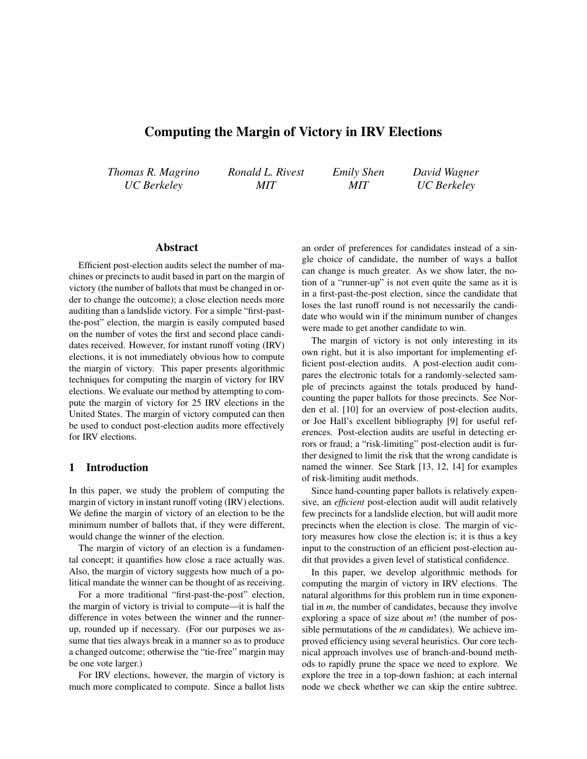# Computing the Margin of Victory in IRV Elections

*Thomas R. Magrino UC Berkeley*

*Ronald L. Rivest MIT*

*Emily Shen MIT*

*David Wagner UC Berkeley*

### Abstract

Efficient post-election audits select the number of machines or precincts to audit based in part on the margin of victory (the number of ballots that must be changed in order to change the outcome); a close election needs more auditing than a landslide victory. For a simple "first-pastthe-post" election, the margin is easily computed based on the number of votes the first and second place candidates received. However, for instant runoff voting (IRV) elections, it is not immediately obvious how to compute the margin of victory. This paper presents algorithmic techniques for computing the margin of victory for IRV elections. We evaluate our method by attempting to compute the margin of victory for 25 IRV elections in the United States. The margin of victory computed can then be used to conduct post-election audits more effectively for IRV elections.

#### 1 Introduction

In this paper, we study the problem of computing the margin of victory in instant runoff voting (IRV) elections. We define the margin of victory of an election to be the minimum number of ballots that, if they were different, would change the winner of the election.

The margin of victory of an election is a fundamental concept; it quantifies how close a race actually was. Also, the margin of victory suggests how much of a political mandate the winner can be thought of as receiving.

For a more traditional "first-past-the-post" election, the margin of victory is trivial to compute—it is half the difference in votes between the winner and the runnerup, rounded up if necessary. (For our purposes we assume that ties always break in a manner so as to produce a changed outcome; otherwise the "tie-free" margin may be one vote larger.)

For IRV elections, however, the margin of victory is much more complicated to compute. Since a ballot lists an order of preferences for candidates instead of a single choice of candidate, the number of ways a ballot can change is much greater. As we show later, the notion of a "runner-up" is not even quite the same as it is in a first-past-the-post election, since the candidate that loses the last runoff round is not necessarily the candidate who would win if the minimum number of changes were made to get another candidate to win.

The margin of victory is not only interesting in its own right, but it is also important for implementing efficient post-election audits. A post-election audit compares the electronic totals for a randomly-selected sample of precincts against the totals produced by handcounting the paper ballots for those precincts. See Norden et al. [10] for an overview of post-election audits, or Joe Hall's excellent bibliography [9] for useful references. Post-election audits are useful in detecting errors or fraud; a "risk-limiting" post-election audit is further designed to limit the risk that the wrong candidate is named the winner. See Stark [13, 12, 14] for examples of risk-limiting audit methods.

Since hand-counting paper ballots is relatively expensive, an *efficient* post-election audit will audit relatively few precincts for a landslide election, but will audit more precincts when the election is close. The margin of victory measures how close the election is; it is thus a key input to the construction of an efficient post-election audit that provides a given level of statistical confidence.

In this paper, we develop algorithmic methods for computing the margin of victory in IRV elections. The natural algorithms for this problem run in time exponential in *m*, the number of candidates, because they involve exploring a space of size about *m*! (the number of possible permutations of the *m* candidates). We achieve improved efficiency using several heuristics. Our core technical approach involves use of branch-and-bound methods to rapidly prune the space we need to explore. We explore the tree in a top-down fashion; at each internal node we check whether we can skip the entire subtree.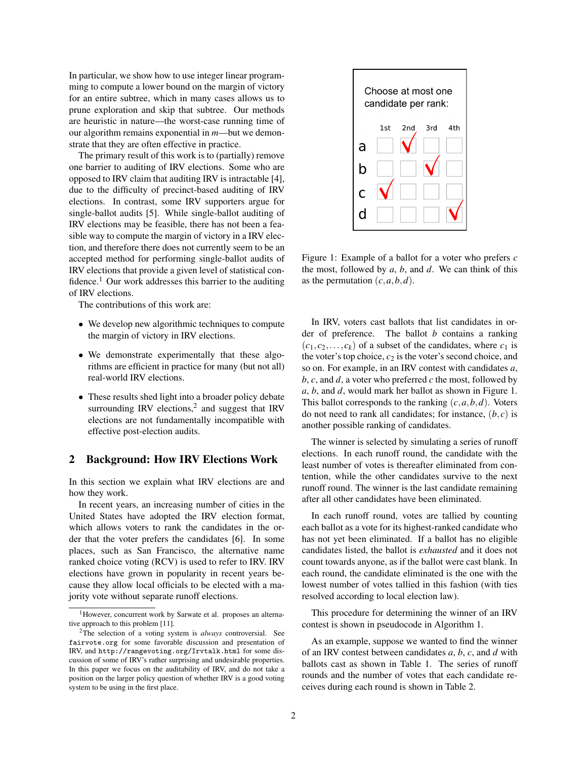In particular, we show how to use integer linear programming to compute a lower bound on the margin of victory for an entire subtree, which in many cases allows us to prune exploration and skip that subtree. Our methods are heuristic in nature—the worst-case running time of our algorithm remains exponential in *m*—but we demonstrate that they are often effective in practice.

The primary result of this work is to (partially) remove one barrier to auditing of IRV elections. Some who are opposed to IRV claim that auditing IRV is intractable [4], due to the difficulty of precinct-based auditing of IRV elections. In contrast, some IRV supporters argue for single-ballot audits [5]. While single-ballot auditing of IRV elections may be feasible, there has not been a feasible way to compute the margin of victory in a IRV election, and therefore there does not currently seem to be an accepted method for performing single-ballot audits of IRV elections that provide a given level of statistical confidence.<sup>1</sup> Our work addresses this barrier to the auditing of IRV elections.

The contributions of this work are:

- We develop new algorithmic techniques to compute the margin of victory in IRV elections.
- We demonstrate experimentally that these algorithms are efficient in practice for many (but not all) real-world IRV elections.
- These results shed light into a broader policy debate surrounding IRV elections, $2$  and suggest that IRV elections are not fundamentally incompatible with effective post-election audits.

#### 2 Background: How IRV Elections Work

In this section we explain what IRV elections are and how they work.

In recent years, an increasing number of cities in the United States have adopted the IRV election format, which allows voters to rank the candidates in the order that the voter prefers the candidates [6]. In some places, such as San Francisco, the alternative name ranked choice voting (RCV) is used to refer to IRV. IRV elections have grown in popularity in recent years because they allow local officials to be elected with a majority vote without separate runoff elections.



Figure 1: Example of a ballot for a voter who prefers *c* the most, followed by *a*, *b*, and *d*. We can think of this as the permutation  $(c, a, b, d)$ .

In IRV, voters cast ballots that list candidates in order of preference. The ballot *b* contains a ranking  $(c_1, c_2, \ldots, c_k)$  of a subset of the candidates, where  $c_1$  is the voter's top choice,  $c_2$  is the voter's second choice, and so on. For example, in an IRV contest with candidates *a*, *b*, *c*, and *d*, a voter who preferred *c* the most, followed by *a*, *b*, and *d*, would mark her ballot as shown in Figure 1. This ballot corresponds to the ranking  $(c, a, b, d)$ . Voters do not need to rank all candidates; for instance, (*b*, *c*) is another possible ranking of candidates.

The winner is selected by simulating a series of runoff elections. In each runoff round, the candidate with the least number of votes is thereafter eliminated from contention, while the other candidates survive to the next runoff round. The winner is the last candidate remaining after all other candidates have been eliminated.

In each runoff round, votes are tallied by counting each ballot as a vote for its highest-ranked candidate who has not yet been eliminated. If a ballot has no eligible candidates listed, the ballot is *exhausted* and it does not count towards anyone, as if the ballot were cast blank. In each round, the candidate eliminated is the one with the lowest number of votes tallied in this fashion (with ties resolved according to local election law).

This procedure for determining the winner of an IRV contest is shown in pseudocode in Algorithm 1.

As an example, suppose we wanted to find the winner of an IRV contest between candidates *a*, *b*, *c*, and *d* with ballots cast as shown in Table 1. The series of runoff rounds and the number of votes that each candidate receives during each round is shown in Table 2.

<sup>&</sup>lt;sup>1</sup>However, concurrent work by Sarwate et al. proposes an alternative approach to this problem [11].

<sup>2</sup>The selection of a voting system is *always* controversial. See fairvote.org for some favorable discussion and presentation of IRV, and http://rangevoting.org/Irvtalk.html for some discussion of some of IRV's rather surprising and undesirable properties. In this paper we focus on the auditability of IRV, and do not take a position on the larger policy question of whether IRV is a good voting system to be using in the first place.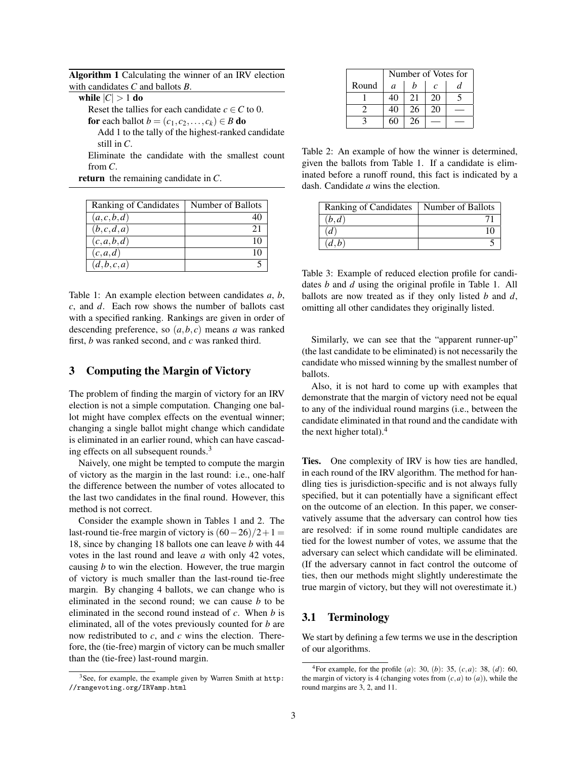Algorithm 1 Calculating the winner of an IRV election with candidates *C* and ballots *B*.

while  $|C| > 1$  do Reset the tallies for each candidate  $c \in C$  to 0. for each ballot  $b = (c_1, c_2, \ldots, c_k) \in B$  do Add 1 to the tally of the highest-ranked candidate still in *C*.

Eliminate the candidate with the smallest count from *C*.

return the remaining candidate in *C*.

| Ranking of Candidates | Number of Ballots |
|-----------------------|-------------------|
| (a,c,b,d)             |                   |
| (b,c,d,a)             | 21                |
| (c,a,b,d)             | 10                |
| (c,a,d)               |                   |
| (d,b,c,a)             |                   |

Table 1: An example election between candidates *a*, *b*, *c*, and *d*. Each row shows the number of ballots cast with a specified ranking. Rankings are given in order of descending preference, so  $(a, b, c)$  means  $a$  was ranked first, *b* was ranked second, and *c* was ranked third.

## 3 Computing the Margin of Victory

The problem of finding the margin of victory for an IRV election is not a simple computation. Changing one ballot might have complex effects on the eventual winner; changing a single ballot might change which candidate is eliminated in an earlier round, which can have cascading effects on all subsequent rounds.<sup>3</sup>

Naively, one might be tempted to compute the margin of victory as the margin in the last round: i.e., one-half the difference between the number of votes allocated to the last two candidates in the final round. However, this method is not correct.

Consider the example shown in Tables 1 and 2. The last-round tie-free margin of victory is  $(60-26)/2+1=$ 18, since by changing 18 ballots one can leave *b* with 44 votes in the last round and leave *a* with only 42 votes, causing *b* to win the election. However, the true margin of victory is much smaller than the last-round tie-free margin. By changing 4 ballots, we can change who is eliminated in the second round; we can cause *b* to be eliminated in the second round instead of *c*. When *b* is eliminated, all of the votes previously counted for *b* are now redistributed to *c*, and *c* wins the election. Therefore, the (tie-free) margin of victory can be much smaller than the (tie-free) last-round margin.

|       | Number of Votes for |    |    |  |  |
|-------|---------------------|----|----|--|--|
| Round | a                   | c  | a. |  |  |
|       | 40                  | 21 | 20 |  |  |
|       | 40                  | 26 | 20 |  |  |
|       | 60                  | 26 |    |  |  |

Table 2: An example of how the winner is determined, given the ballots from Table 1. If a candidate is eliminated before a runoff round, this fact is indicated by a dash. Candidate *a* wins the election.

| Ranking of Candidates | Number of Ballots |
|-----------------------|-------------------|
| (b,d)                 |                   |
| $\overline{d}$        |                   |
| (d,b)                 |                   |

Table 3: Example of reduced election profile for candidates *b* and *d* using the original profile in Table 1. All ballots are now treated as if they only listed *b* and *d*, omitting all other candidates they originally listed.

Similarly, we can see that the "apparent runner-up" (the last candidate to be eliminated) is not necessarily the candidate who missed winning by the smallest number of ballots.

Also, it is not hard to come up with examples that demonstrate that the margin of victory need not be equal to any of the individual round margins (i.e., between the candidate eliminated in that round and the candidate with the next higher total). $4$ 

Ties. One complexity of IRV is how ties are handled, in each round of the IRV algorithm. The method for handling ties is jurisdiction-specific and is not always fully specified, but it can potentially have a significant effect on the outcome of an election. In this paper, we conservatively assume that the adversary can control how ties are resolved: if in some round multiple candidates are tied for the lowest number of votes, we assume that the adversary can select which candidate will be eliminated. (If the adversary cannot in fact control the outcome of ties, then our methods might slightly underestimate the true margin of victory, but they will not overestimate it.)

### 3.1 Terminology

We start by defining a few terms we use in the description of our algorithms.

 $3$ See, for example, the example given by Warren Smith at http: //rangevoting.org/IRVamp.html

<sup>4</sup>For example, for the profile (*a*): 30, (*b*): 35, (*c*,*a*): 38, (*d*): 60, the margin of victory is 4 (changing votes from  $(c, a)$  to  $(a)$ ), while the round margins are 3, 2, and 11.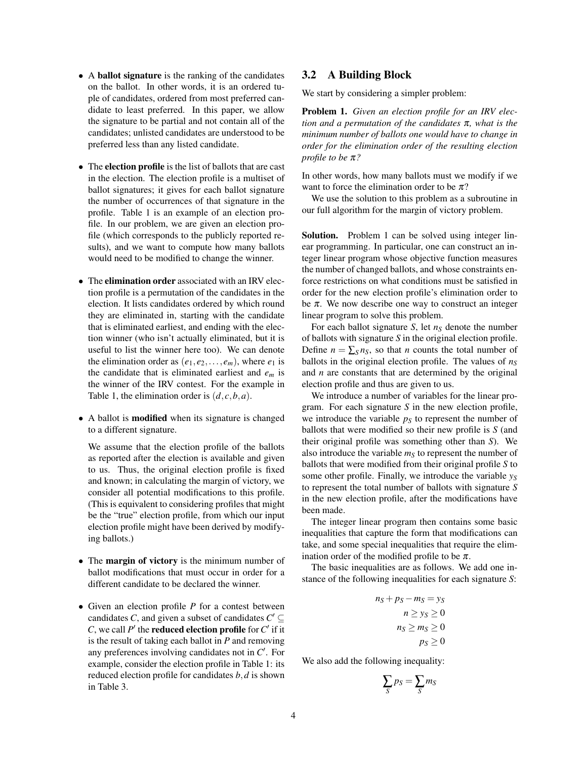- A **ballot signature** is the ranking of the candidates on the ballot. In other words, it is an ordered tuple of candidates, ordered from most preferred candidate to least preferred. In this paper, we allow the signature to be partial and not contain all of the candidates; unlisted candidates are understood to be preferred less than any listed candidate.
- The election profile is the list of ballots that are cast in the election. The election profile is a multiset of ballot signatures; it gives for each ballot signature the number of occurrences of that signature in the profile. Table 1 is an example of an election profile. In our problem, we are given an election profile (which corresponds to the publicly reported results), and we want to compute how many ballots would need to be modified to change the winner.
- The elimination order associated with an IRV election profile is a permutation of the candidates in the election. It lists candidates ordered by which round they are eliminated in, starting with the candidate that is eliminated earliest, and ending with the election winner (who isn't actually eliminated, but it is useful to list the winner here too). We can denote the elimination order as  $(e_1, e_2, \ldots, e_m)$ , where  $e_1$  is the candidate that is eliminated earliest and *e<sup>m</sup>* is the winner of the IRV contest. For the example in Table 1, the elimination order is  $(d, c, b, a)$ .
- A ballot is modified when its signature is changed to a different signature.

We assume that the election profile of the ballots as reported after the election is available and given to us. Thus, the original election profile is fixed and known; in calculating the margin of victory, we consider all potential modifications to this profile. (This is equivalent to considering profiles that might be the "true" election profile, from which our input election profile might have been derived by modifying ballots.)

- The **margin of victory** is the minimum number of ballot modifications that must occur in order for a different candidate to be declared the winner.
- Given an election profile *P* for a contest between candidates *C*, and given a subset of candidates  $C' \subseteq$  $C$ , we call  $P'$  the **reduced election profile** for  $C'$  if it is the result of taking each ballot in *P* and removing any preferences involving candidates not in  $C'$ . For example, consider the election profile in Table 1: its reduced election profile for candidates *b*,*d* is shown in Table 3.

### 3.2 A Building Block

We start by considering a simpler problem:

Problem 1. *Given an election profile for an IRV election and a permutation of the candidates* π*, what is the minimum number of ballots one would have to change in order for the elimination order of the resulting election profile to be* π*?*

In other words, how many ballots must we modify if we want to force the elimination order to be  $\pi$ ?

We use the solution to this problem as a subroutine in our full algorithm for the margin of victory problem.

Solution. Problem 1 can be solved using integer linear programming. In particular, one can construct an integer linear program whose objective function measures the number of changed ballots, and whose constraints enforce restrictions on what conditions must be satisfied in order for the new election profile's elimination order to be  $\pi$ . We now describe one way to construct an integer linear program to solve this problem.

For each ballot signature *S*, let *n<sup>S</sup>* denote the number of ballots with signature *S* in the original election profile. Define  $n = \sum_{S} n_{S}$ , so that *n* counts the total number of ballots in the original election profile. The values of  $n<sub>S</sub>$ and *n* are constants that are determined by the original election profile and thus are given to us.

We introduce a number of variables for the linear program. For each signature *S* in the new election profile, we introduce the variable  $p<sub>S</sub>$  to represent the number of ballots that were modified so their new profile is *S* (and their original profile was something other than *S*). We also introduce the variable  $m<sub>S</sub>$  to represent the number of ballots that were modified from their original profile *S* to some other profile. Finally, we introduce the variable *y<sup>S</sup>* to represent the total number of ballots with signature *S* in the new election profile, after the modifications have been made.

The integer linear program then contains some basic inequalities that capture the form that modifications can take, and some special inequalities that require the elimination order of the modified profile to be  $\pi$ .

The basic inequalities are as follows. We add one instance of the following inequalities for each signature *S*:

$$
n_S + p_S - m_S = y_S
$$
  
\n
$$
n \ge y_S \ge 0
$$
  
\n
$$
n_S \ge m_S \ge 0
$$
  
\n
$$
p_S \ge 0
$$

We also add the following inequality:

$$
\sum_{S} p_{S} = \sum_{S} m_{S}
$$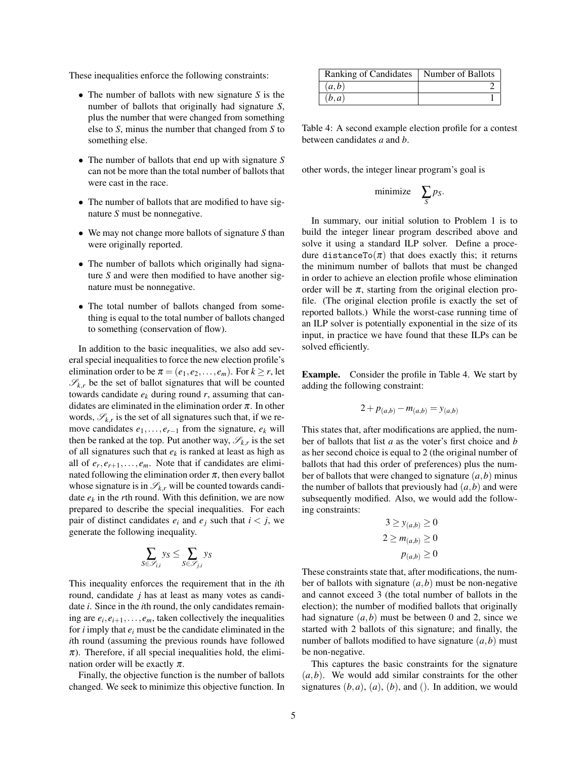These inequalities enforce the following constraints:

- The number of ballots with new signature *S* is the number of ballots that originally had signature *S*, plus the number that were changed from something else to *S*, minus the number that changed from *S* to something else.
- The number of ballots that end up with signature *S* can not be more than the total number of ballots that were cast in the race.
- The number of ballots that are modified to have signature *S* must be nonnegative.
- We may not change more ballots of signature *S* than were originally reported.
- The number of ballots which originally had signature *S* and were then modified to have another signature must be nonnegative.
- The total number of ballots changed from something is equal to the total number of ballots changed to something (conservation of flow).

In addition to the basic inequalities, we also add several special inequalities to force the new election profile's elimination order to be  $\pi = (e_1, e_2, \ldots, e_m)$ . For  $k \ge r$ , let  $\mathscr{S}_{k,r}$  be the set of ballot signatures that will be counted towards candidate  $e_k$  during round  $r$ , assuming that candidates are eliminated in the elimination order  $\pi$ . In other words,  $\mathcal{S}_{k,r}$  is the set of all signatures such that, if we remove candidates  $e_1, \ldots, e_{r-1}$  from the signature,  $e_k$  will then be ranked at the top. Put another way,  $\mathscr{S}_{k,r}$  is the set of all signatures such that  $e_k$  is ranked at least as high as all of  $e_r, e_{r+1}, \ldots, e_m$ . Note that if candidates are eliminated following the elimination order  $\pi$ , then every ballot whose signature is in  $\mathcal{S}_{k,r}$  will be counted towards candidate  $e_k$  in the *r*th round. With this definition, we are now prepared to describe the special inequalities. For each pair of distinct candidates  $e_i$  and  $e_j$  such that  $i < j$ , we generate the following inequality.

$$
\sum_{S \in \mathscr{S}_{i,i}} y_S \le \sum_{S \in \mathscr{S}_{j,i}} y_S
$$

This inequality enforces the requirement that in the *i*th round, candidate *j* has at least as many votes as candidate *i*. Since in the *i*th round, the only candidates remaining are  $e_i, e_{i+1}, \ldots, e_m$ , taken collectively the inequalities for *i* imply that *e<sup>i</sup>* must be the candidate eliminated in the *i*th round (assuming the previous rounds have followed  $\pi$ ). Therefore, if all special inequalities hold, the elimination order will be exactly  $\pi$ .

Finally, the objective function is the number of ballots changed. We seek to minimize this objective function. In

| Ranking of Candidates | Number of Ballots |
|-----------------------|-------------------|
| (a,b)                 |                   |
| (b,a)                 |                   |

Table 4: A second example election profile for a contest between candidates *a* and *b*.

other words, the integer linear program's goal is

$$
minimize \quad \sum_{S} p_{S}.
$$

In summary, our initial solution to Problem 1 is to build the integer linear program described above and solve it using a standard ILP solver. Define a procedure distanceTo $(\pi)$  that does exactly this; it returns the minimum number of ballots that must be changed in order to achieve an election profile whose elimination order will be  $\pi$ , starting from the original election profile. (The original election profile is exactly the set of reported ballots.) While the worst-case running time of an ILP solver is potentially exponential in the size of its input, in practice we have found that these ILPs can be solved efficiently.

Example. Consider the profile in Table 4. We start by adding the following constraint:

$$
2 + p_{(a,b)} - m_{(a,b)} = y_{(a,b)}
$$

This states that, after modifications are applied, the number of ballots that list *a* as the voter's first choice and *b* as her second choice is equal to 2 (the original number of ballots that had this order of preferences) plus the number of ballots that were changed to signature  $(a, b)$  minus the number of ballots that previously had  $(a, b)$  and were subsequently modified. Also, we would add the following constraints:

$$
3 \ge y_{(a,b)} \ge 0
$$
  

$$
2 \ge m_{(a,b)} \ge 0
$$
  

$$
p_{(a,b)} \ge 0
$$

These constraints state that, after modifications, the number of ballots with signature  $(a, b)$  must be non-negative and cannot exceed 3 (the total number of ballots in the election); the number of modified ballots that originally had signature  $(a, b)$  must be between 0 and 2, since we started with 2 ballots of this signature; and finally, the number of ballots modified to have signature  $(a, b)$  must be non-negative.

This captures the basic constraints for the signature (*a*,*b*). We would add similar constraints for the other signatures  $(b, a)$ ,  $(a)$ ,  $(b)$ , and  $($ ). In addition, we would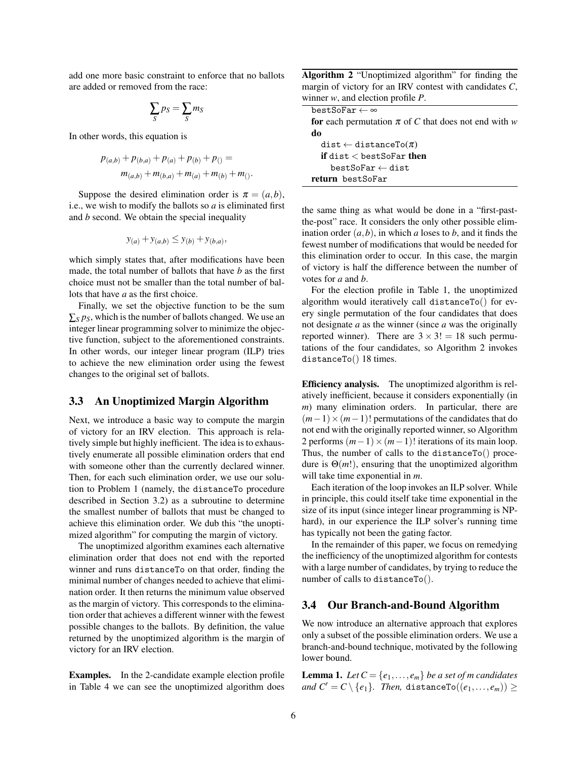add one more basic constraint to enforce that no ballots are added or removed from the race:

$$
\sum_{S} p_{S} = \sum_{S} m_{S}
$$

In other words, this equation is

$$
p_{(a,b)} + p_{(b,a)} + p_{(a)} + p_{(b)} + p_{()} =
$$
  
\n
$$
m_{(a,b)} + m_{(b,a)} + m_{(a)} + m_{(b)} + m_{()}.
$$

Suppose the desired elimination order is  $\pi = (a, b)$ , i.e., we wish to modify the ballots so *a* is eliminated first and *b* second. We obtain the special inequality

$$
y_{(a)} + y_{(a,b)} \leq y_{(b)} + y_{(b,a)},
$$

which simply states that, after modifications have been made, the total number of ballots that have *b* as the first choice must not be smaller than the total number of ballots that have *a* as the first choice.

Finally, we set the objective function to be the sum  $\sum_{S} p_{S}$ , which is the number of ballots changed. We use an integer linear programming solver to minimize the objective function, subject to the aforementioned constraints. In other words, our integer linear program (ILP) tries to achieve the new elimination order using the fewest changes to the original set of ballots.

#### 3.3 An Unoptimized Margin Algorithm

Next, we introduce a basic way to compute the margin of victory for an IRV election. This approach is relatively simple but highly inefficient. The idea is to exhaustively enumerate all possible elimination orders that end with someone other than the currently declared winner. Then, for each such elimination order, we use our solution to Problem 1 (namely, the distanceTo procedure described in Section 3.2) as a subroutine to determine the smallest number of ballots that must be changed to achieve this elimination order. We dub this "the unoptimized algorithm" for computing the margin of victory.

The unoptimized algorithm examines each alternative elimination order that does not end with the reported winner and runs distanceTo on that order, finding the minimal number of changes needed to achieve that elimination order. It then returns the minimum value observed as the margin of victory. This corresponds to the elimination order that achieves a different winner with the fewest possible changes to the ballots. By definition, the value returned by the unoptimized algorithm is the margin of victory for an IRV election.

Examples. In the 2-candidate example election profile in Table 4 we can see the unoptimized algorithm does

Algorithm 2 "Unoptimized algorithm" for finding the margin of victory for an IRV contest with candidates *C*, winner *w*, and election profile *P*.

| $bestSofar \leftarrow \infty$                            |
|----------------------------------------------------------|
| for each permutation $\pi$ of C that does not end with w |
| do                                                       |
| dist $\leftarrow$ distanceTo( $\pi$ )                    |
| if dist $<$ bestSoFar then                               |
| $bestSoFar \leftarrow dist$                              |
| return bestSoFar                                         |

the same thing as what would be done in a "first-pastthe-post" race. It considers the only other possible elimination order  $(a, b)$ , in which *a* loses to *b*, and it finds the fewest number of modifications that would be needed for this elimination order to occur. In this case, the margin of victory is half the difference between the number of votes for *a* and *b*.

For the election profile in Table 1, the unoptimized algorithm would iteratively call distanceTo() for every single permutation of the four candidates that does not designate *a* as the winner (since *a* was the originally reported winner). There are  $3 \times 3! = 18$  such permutations of the four candidates, so Algorithm 2 invokes distanceTo() 18 times.

Efficiency analysis. The unoptimized algorithm is relatively inefficient, because it considers exponentially (in *m*) many elimination orders. In particular, there are  $(m-1) \times (m-1)!$  permutations of the candidates that do not end with the originally reported winner, so Algorithm 2 performs  $(m-1) \times (m-1)!$  iterations of its main loop. Thus, the number of calls to the distanceTo() procedure is  $\Theta(m!)$ , ensuring that the unoptimized algorithm will take time exponential in *m*.

Each iteration of the loop invokes an ILP solver. While in principle, this could itself take time exponential in the size of its input (since integer linear programming is NPhard), in our experience the ILP solver's running time has typically not been the gating factor.

In the remainder of this paper, we focus on remedying the inefficiency of the unoptimized algorithm for contests with a large number of candidates, by trying to reduce the number of calls to distanceTo().

#### 3.4 Our Branch-and-Bound Algorithm

We now introduce an alternative approach that explores only a subset of the possible elimination orders. We use a branch-and-bound technique, motivated by the following lower bound.

**Lemma 1.** *Let*  $C = \{e_1, \ldots, e_m\}$  *be a set of m candidates and*  $C' = C \setminus \{e_1\}$ *. Then,* distanceTo(( $e_1, \ldots, e_m$ )) ≥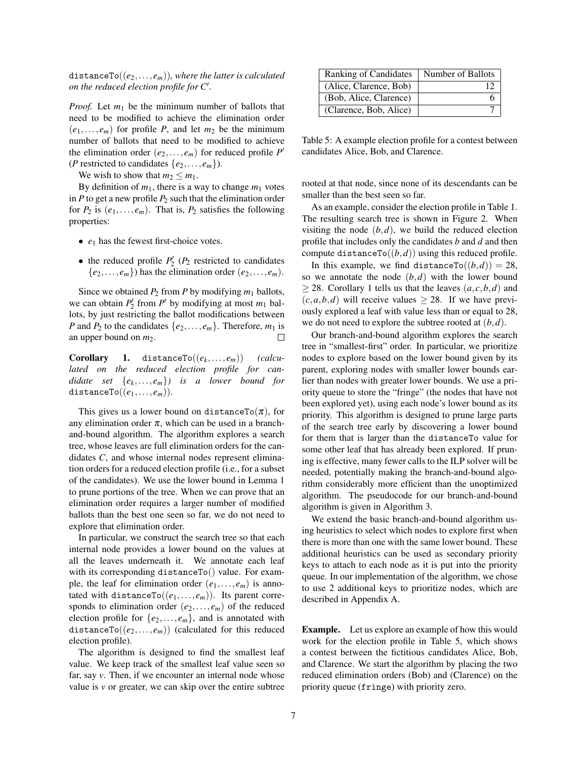distanceTo( $(e_2,..., e_m)$ ), where the latter is calculated *on the reduced election profile for C'*.

*Proof.* Let *m*<sup>1</sup> be the minimum number of ballots that need to be modified to achieve the elimination order  $(e_1, \ldots, e_m)$  for profile *P*, and let  $m_2$  be the minimum number of ballots that need to be modified to achieve the elimination order  $(e_2,..., e_m)$  for reduced profile  $P'$ (*P* restricted to candidates  $\{e_2, \ldots, e_m\}$ ).

We wish to show that  $m_2 \leq m_1$ .

By definition of  $m_1$ , there is a way to change  $m_1$  votes in  $P$  to get a new profile  $P_2$  such that the elimination order for  $P_2$  is  $(e_1, \ldots, e_m)$ . That is,  $P_2$  satisfies the following properties:

- $\bullet$   $e_1$  has the fewest first-choice votes.
- the reduced profile  $P_2'$  ( $P_2$  restricted to candidates  ${e_2, \ldots, e_m}$ ) has the elimination order  $(e_2, \ldots, e_m)$ .

Since we obtained  $P_2$  from  $P$  by modifying  $m_1$  ballots, we can obtain  $P'_2$  from  $P'$  by modifying at most  $m_1$  ballots, by just restricting the ballot modifications between *P* and *P*<sub>2</sub> to the candidates  $\{e_2, \ldots, e_m\}$ . Therefore, *m*<sub>1</sub> is an upper bound on  $m_2$ .  $\Box$ 

 $Corollary 1.$   $distanceTo((e_k,...,e_m))$   $(calcu$ *lated on the reduced election profile for candidate set* {*e<sup>k</sup>* ,..., *em*}*) is a lower bound for*  $distanceTo((e_1,...,e_m)).$ 

This gives us a lower bound on distanceTo( $\pi$ ), for any elimination order  $\pi$ , which can be used in a branchand-bound algorithm. The algorithm explores a search tree, whose leaves are full elimination orders for the candidates *C*, and whose internal nodes represent elimination orders for a reduced election profile (i.e., for a subset of the candidates). We use the lower bound in Lemma 1 to prune portions of the tree. When we can prove that an elimination order requires a larger number of modified ballots than the best one seen so far, we do not need to explore that elimination order.

In particular, we construct the search tree so that each internal node provides a lower bound on the values at all the leaves underneath it. We annotate each leaf with its corresponding distanceTo() value. For example, the leaf for elimination order  $(e_1, \ldots, e_m)$  is annotated with distanceTo((*e*1,..., *em*)). Its parent corresponds to elimination order  $(e_2, \ldots, e_m)$  of the reduced election profile for  $\{e_2, \ldots, e_m\}$ , and is annotated with distanceTo( $(e_2,..., e_m)$ ) (calculated for this reduced election profile).

The algorithm is designed to find the smallest leaf value. We keep track of the smallest leaf value seen so far, say *v*. Then, if we encounter an internal node whose value is *v* or greater, we can skip over the entire subtree

| Ranking of Candidates  | Number of Ballots |
|------------------------|-------------------|
| (Alice, Clarence, Bob) |                   |
| (Bob, Alice, Clarence) |                   |
| (Clarence, Bob, Alice) |                   |

Table 5: A example election profile for a contest between candidates Alice, Bob, and Clarence.

rooted at that node, since none of its descendants can be smaller than the best seen so far.

As an example, consider the election profile in Table 1. The resulting search tree is shown in Figure 2. When visiting the node  $(b,d)$ , we build the reduced election profile that includes only the candidates *b* and *d* and then compute distanceTo $((b,d))$  using this reduced profile.

In this example, we find distanceTo $((b,d)) = 28$ , so we annotate the node  $(b,d)$  with the lower bound  $>$  28. Corollary 1 tells us that the leaves  $(a, c, b, d)$  and  $(c, a, b, d)$  will receive values  $\geq 28$ . If we have previously explored a leaf with value less than or equal to 28, we do not need to explore the subtree rooted at (*b*,*d*).

Our branch-and-bound algorithm explores the search tree in "smallest-first" order. In particular, we prioritize nodes to explore based on the lower bound given by its parent, exploring nodes with smaller lower bounds earlier than nodes with greater lower bounds. We use a priority queue to store the "fringe" (the nodes that have not been explored yet), using each node's lower bound as its priority. This algorithm is designed to prune large parts of the search tree early by discovering a lower bound for them that is larger than the distanceTo value for some other leaf that has already been explored. If pruning is effective, many fewer calls to the ILP solver will be needed, potentially making the branch-and-bound algorithm considerably more efficient than the unoptimized algorithm. The pseudocode for our branch-and-bound algorithm is given in Algorithm 3.

We extend the basic branch-and-bound algorithm using heuristics to select which nodes to explore first when there is more than one with the same lower bound. These additional heuristics can be used as secondary priority keys to attach to each node as it is put into the priority queue. In our implementation of the algorithm, we chose to use 2 additional keys to prioritize nodes, which are described in Appendix A.

Example. Let us explore an example of how this would work for the election profile in Table 5, which shows a contest between the fictitious candidates Alice, Bob, and Clarence. We start the algorithm by placing the two reduced elimination orders (Bob) and (Clarence) on the priority queue (fringe) with priority zero.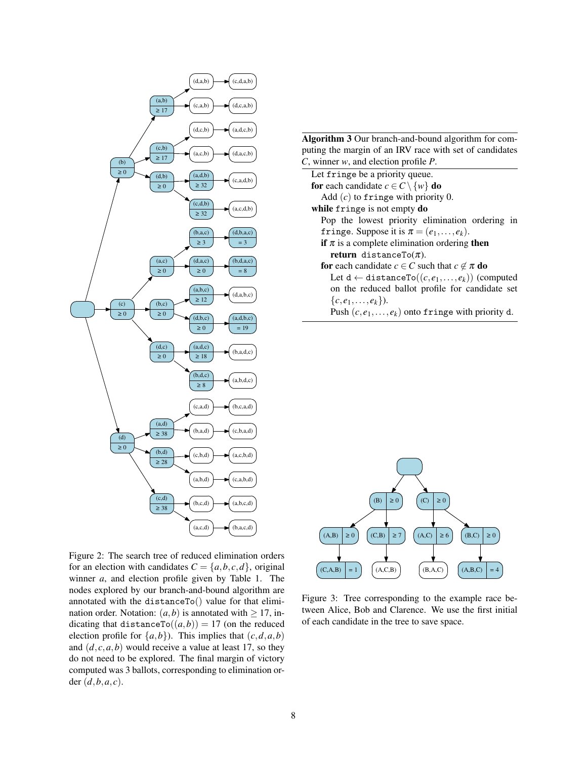

Figure 2: The search tree of reduced elimination orders for an election with candidates  $C = \{a, b, c, d\}$ , original winner *a*, and election profile given by Table 1. The nodes explored by our branch-and-bound algorithm are annotated with the distanceTo() value for that elimination order. Notation:  $(a, b)$  is annotated with  $\geq 17$ , indicating that distanceTo $((a,b)) = 17$  (on the reduced election profile for  $\{a,b\}$ ). This implies that  $(c,d,a,b)$ and  $(d, c, a, b)$  would receive a value at least 17, so they do not need to be explored. The final margin of victory computed was 3 ballots, corresponding to elimination order (*d*,*b*,*a*, *c*).

| <b>Algorithm 3</b> Our branch-and-bound algorithm for com- |
|------------------------------------------------------------|
| puting the margin of an IRV race with set of candidates    |
| C, winner $w$ , and election profile $P$ .                 |

| Let fringe be a priority queue.                                    |  |  |  |  |
|--------------------------------------------------------------------|--|--|--|--|
| for each candidate $c \in C \setminus \{w\}$ do                    |  |  |  |  |
| Add $(c)$ to fringe with priority 0.                               |  |  |  |  |
| while fringe is not empty do                                       |  |  |  |  |
| Pop the lowest priority elimination ordering in                    |  |  |  |  |
| fringe. Suppose it is $\pi = (e_1, \ldots, e_k)$ .                 |  |  |  |  |
| if $\pi$ is a complete elimination ordering then                   |  |  |  |  |
| <b>return</b> distance $To(\pi)$ .                                 |  |  |  |  |
| for each candidate $c \in C$ such that $c \notin \pi$ do           |  |  |  |  |
| Let $d \leftarrow$ distance To $((c, e_1, \ldots, e_k))$ (computed |  |  |  |  |
| on the reduced ballot profile for candidate set                    |  |  |  |  |
| $\{c, e_1, \ldots, e_k\}$ ).                                       |  |  |  |  |
| Push $(c, e_1, \ldots, e_k)$ onto fringe with priority d.          |  |  |  |  |
|                                                                    |  |  |  |  |



Figure 3: Tree corresponding to the example race between Alice, Bob and Clarence. We use the first initial of each candidate in the tree to save space.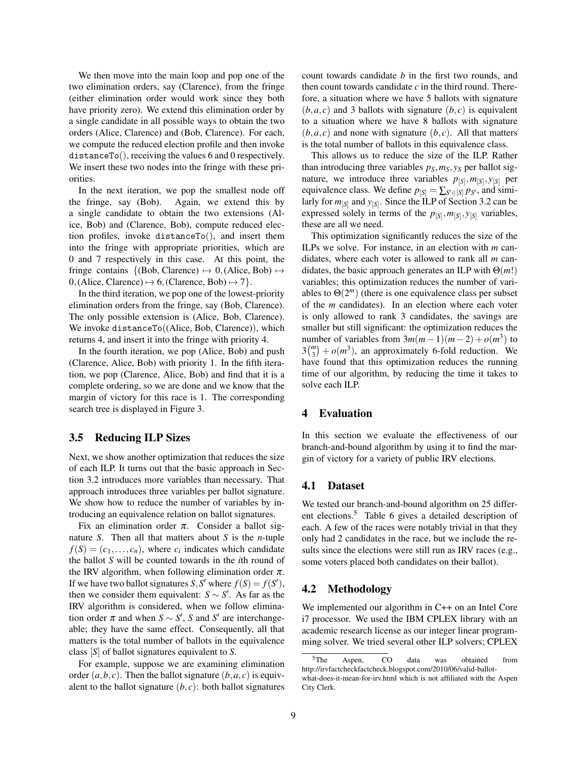We then move into the main loop and pop one of the two elimination orders, say (Clarence), from the fringe (either elimination order would work since they both have priority zero). We extend this elimination order by a single candidate in all possible ways to obtain the two orders (Alice, Clarence) and (Bob, Clarence). For each, we compute the reduced election profile and then invoke distanceTo(), receiving the values 6 and 0 respectively. We insert these two nodes into the fringe with these priorities.

In the next iteration, we pop the smallest node off the fringe, say (Bob). Again, we extend this by a single candidate to obtain the two extensions (Alice, Bob) and (Clarence, Bob), compute reduced election profiles, invoke distanceTo(), and insert them into the fringe with appropriate priorities, which are 0 and 7 respectively in this case. At this point, the fringe contains  $\{(\text{Bob}, \text{Clarence}) \mapsto 0, (\text{Alice}, \text{Bob}) \mapsto \}$  $0,$ (Alice, Clarence)  $\mapsto$  6, (Clarence, Bob)  $\mapsto$  7 $\}.$ 

In the third iteration, we pop one of the lowest-priority elimination orders from the fringe, say (Bob, Clarence). The only possible extension is (Alice, Bob, Clarence). We invoke distanceTo((Alice, Bob, Clarence)), which returns 4, and insert it into the fringe with priority 4.

In the fourth iteration, we pop (Alice, Bob) and push (Clarence, Alice, Bob) with priority 1. In the fifth iteration, we pop (Clarence, Alice, Bob) and find that it is a complete ordering, so we are done and we know that the margin of victory for this race is 1. The corresponding search tree is displayed in Figure 3.

#### 3.5 Reducing ILP Sizes

Next, we show another optimization that reduces the size of each ILP. It turns out that the basic approach in Section 3.2 introduces more variables than necessary. That approach introduces three variables per ballot signature. We show how to reduce the number of variables by introducing an equivalence relation on ballot signatures.

Fix an elimination order  $\pi$ . Consider a ballot signature *S*. Then all that matters about *S* is the *n*-tuple  $f(S) = (c_1, \ldots, c_n)$ , where  $c_i$  indicates which candidate the ballot *S* will be counted towards in the *i*th round of the IRV algorithm, when following elimination order  $\pi$ . If we have two ballot signatures *S*, *S*<sup> $\prime$ </sup> where  $f(S) = f(S')$ , then we consider them equivalent:  $S \sim S'$ . As far as the IRV algorithm is considered, when we follow elimination order  $\pi$  and when  $S \sim S'$ , *S* and  $S'$  are interchangeable; they have the same effect. Consequently, all that matters is the total number of ballots in the equivalence class [*S*] of ballot signatures equivalent to *S*.

For example, suppose we are examining elimination order  $(a, b, c)$ . Then the ballot signature  $(b, a, c)$  is equivalent to the ballot signature  $(b, c)$ : both ballot signatures count towards candidate *b* in the first two rounds, and then count towards candidate *c* in the third round. Therefore, a situation where we have 5 ballots with signature  $(b, a, c)$  and 3 ballots with signature  $(b, c)$  is equivalent to a situation where we have 8 ballots with signature  $(b, a, c)$  and none with signature  $(b, c)$ . All that matters is the total number of ballots in this equivalence class.

This allows us to reduce the size of the ILP. Rather than introducing three variables  $p_S, m_S, y_S$  per ballot signature, we introduce three variables  $p_{[S]}, m_{[S]}, y_{[S]}$  per equivalence class. We define  $p_{[S]} = \sum_{S' \in [S]} p_{S'}$ , and similarly for  $m_{[S]}$  and  $y_{[S]}$ . Since the ILP of Section 3.2 can be expressed solely in terms of the  $p_{[S]}, m_{[S]}, y_{[S]}$  variables, these are all we need.

This optimization significantly reduces the size of the ILPs we solve. For instance, in an election with *m* candidates, where each voter is allowed to rank all *m* candidates, the basic approach generates an ILP with Θ(*m*!) variables; this optimization reduces the number of variables to  $\Theta(2^m)$  (there is one equivalence class per subset of the *m* candidates). In an election where each voter is only allowed to rank 3 candidates, the savings are smaller but still significant: the optimization reduces the number of variables from  $3m(m-1)(m-2) + o(m^3)$  to  $3\binom{m}{3} + o(m^3)$ , an approximately 6-fold reduction. We have found that this optimization reduces the running time of our algorithm, by reducing the time it takes to solve each ILP.

### 4 Evaluation

In this section we evaluate the effectiveness of our branch-and-bound algorithm by using it to find the margin of victory for a variety of public IRV elections.

#### 4.1 Dataset

We tested our branch-and-bound algorithm on 25 different elections.<sup>5</sup> Table 6 gives a detailed description of each. A few of the races were notably trivial in that they only had 2 candidates in the race, but we include the results since the elections were still run as IRV races (e.g., some voters placed both candidates on their ballot).

### 4.2 Methodology

We implemented our algorithm in C++ on an Intel Core i7 processor. We used the IBM CPLEX library with an academic research license as our integer linear programming solver. We tried several other ILP solvers; CPLEX

<sup>5</sup>The Aspen, CO data was obtained from http://irvfactcheckfactcheck.blogspot.com/2010/06/valid-ballot-

what-does-it-mean-for-irv.html which is not affiliated with the Aspen City Clerk.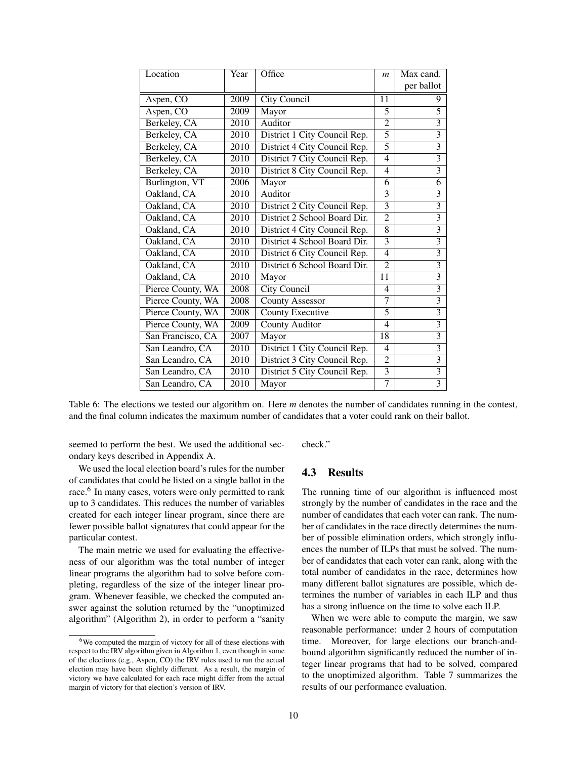| Location          | Year | Office                       |                          | Max cand.                 |
|-------------------|------|------------------------------|--------------------------|---------------------------|
|                   |      |                              |                          | per ballot                |
| Aspen, CO         | 2009 | City Council                 | 11                       | 9                         |
| Aspen, CO         | 2009 | Mayor                        | 5                        | 5                         |
| Berkeley, CA      | 2010 | Auditor                      | $\overline{2}$           | $\overline{\mathbf{3}}$   |
| Berkeley, CA      | 2010 | District 1 City Council Rep. | 5                        | $\overline{\mathbf{3}}$   |
| Berkeley, CA      | 2010 | District 4 City Council Rep. | $\overline{5}$           | $\overline{\mathbf{3}}$   |
| Berkeley, CA      | 2010 | District 7 City Council Rep. | $\overline{4}$           | $\overline{3}$            |
| Berkeley, CA      | 2010 | District 8 City Council Rep. | $\overline{4}$           | $\overline{3}$            |
| Burlington, VT    | 2006 | Mayor                        | 6                        | 6                         |
| Oakland, CA       | 2010 | Auditor                      | 3                        | $\overline{3}$            |
| Oakland, CA       | 2010 | District 2 City Council Rep. | $\overline{3}$           | $\overline{3}$            |
| Oakland, CA       | 2010 | District 2 School Board Dir. | $\overline{2}$           | $\overline{3}$            |
| Oakland, CA       | 2010 | District 4 City Council Rep. | $\overline{8}$           | $\overline{\overline{3}}$ |
| Oakland, CA       | 2010 | District 4 School Board Dir. | 3                        | $\overline{3}$            |
| Oakland, CA       | 2010 | District 6 City Council Rep. | $\overline{4}$           | $\overline{3}$            |
| Oakland, CA       | 2010 | District 6 School Board Dir. | $\overline{2}$           | $\overline{3}$            |
| Oakland, CA       | 2010 | Mayor                        | 11                       | $\overline{3}$            |
| Pierce County, WA | 2008 | City Council                 | $\overline{\mathcal{A}}$ | $\overline{3}$            |
| Pierce County, WA | 2008 | <b>County Assessor</b>       | $\overline{7}$           | $\overline{3}$            |
| Pierce County, WA | 2008 | <b>County Executive</b>      | 5                        | $\overline{3}$            |
| Pierce County, WA | 2009 | <b>County Auditor</b>        | $\overline{4}$           | $\overline{3}$            |
| San Francisco, CA | 2007 | Mayor                        | 18                       | $\overline{\mathbf{3}}$   |
| San Leandro, CA   | 2010 | District 1 City Council Rep. | 4                        | $\overline{\mathbf{3}}$   |
| San Leandro, CA   | 2010 | District 3 City Council Rep. | $\overline{2}$           | $\overline{\overline{3}}$ |
| San Leandro, CA   | 2010 | District 5 City Council Rep. | $\overline{3}$           | $\overline{\overline{3}}$ |
| San Leandro, CA   | 2010 | Mayor                        | $\overline{7}$           | $\overline{\overline{3}}$ |

Table 6: The elections we tested our algorithm on. Here *m* denotes the number of candidates running in the contest, and the final column indicates the maximum number of candidates that a voter could rank on their ballot.

seemed to perform the best. We used the additional secondary keys described in Appendix A.

check."

### We used the local election board's rules for the number of candidates that could be listed on a single ballot in the race.<sup>6</sup> In many cases, voters were only permitted to rank up to 3 candidates. This reduces the number of variables created for each integer linear program, since there are fewer possible ballot signatures that could appear for the particular contest.

The main metric we used for evaluating the effectiveness of our algorithm was the total number of integer linear programs the algorithm had to solve before completing, regardless of the size of the integer linear program. Whenever feasible, we checked the computed answer against the solution returned by the "unoptimized algorithm" (Algorithm 2), in order to perform a "sanity

## 4.3 Results

The running time of our algorithm is influenced most strongly by the number of candidates in the race and the number of candidates that each voter can rank. The number of candidates in the race directly determines the number of possible elimination orders, which strongly influences the number of ILPs that must be solved. The number of candidates that each voter can rank, along with the total number of candidates in the race, determines how many different ballot signatures are possible, which determines the number of variables in each ILP and thus has a strong influence on the time to solve each ILP.

When we were able to compute the margin, we saw reasonable performance: under 2 hours of computation time. Moreover, for large elections our branch-andbound algorithm significantly reduced the number of integer linear programs that had to be solved, compared to the unoptimized algorithm. Table 7 summarizes the results of our performance evaluation.

<sup>6</sup>We computed the margin of victory for all of these elections with respect to the IRV algorithm given in Algorithm 1, even though in some of the elections (e.g., Aspen, CO) the IRV rules used to run the actual election may have been slightly different. As a result, the margin of victory we have calculated for each race might differ from the actual margin of victory for that election's version of IRV.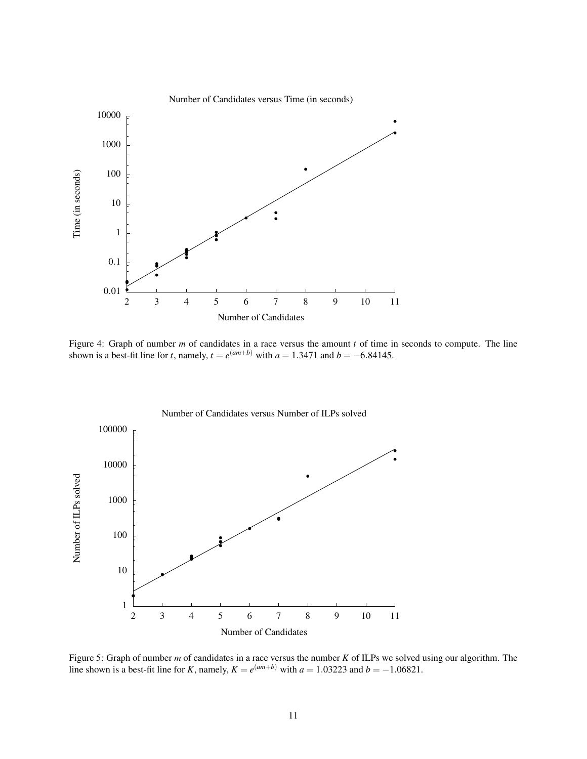

Figure 4: Graph of number *m* of candidates in a race versus the amount *t* of time in seconds to compute. The line shown is a best-fit line for *t*, namely,  $t = e^{(am+b)}$  with  $a = 1.3471$  and  $b = -6.84145$ .



Figure 5: Graph of number *m* of candidates in a race versus the number *K* of ILPs we solved using our algorithm. The line shown is a best-fit line for *K*, namely,  $K = e^{(am+b)}$  with  $a = 1.03223$  and  $b = -1.06821$ .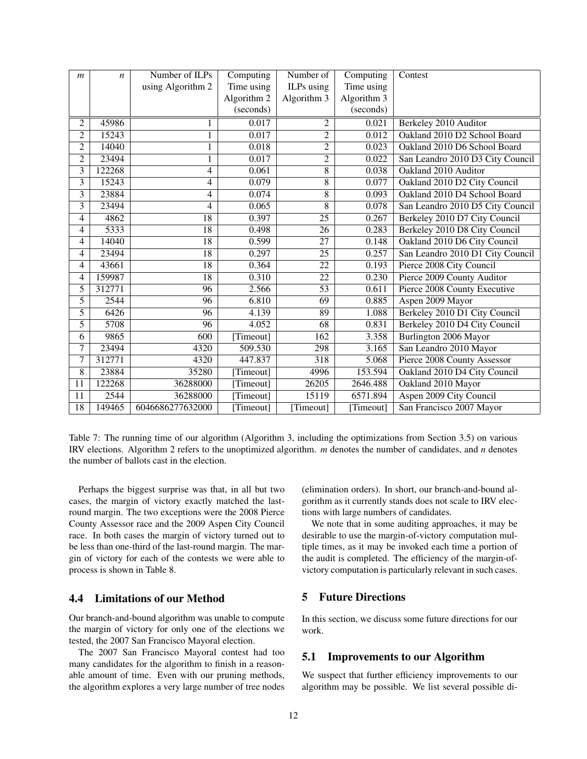| m                       | $\boldsymbol{n}$ | Number of ILPs    | Computing   | Number of        | Computing   | Contest                          |
|-------------------------|------------------|-------------------|-------------|------------------|-------------|----------------------------------|
|                         |                  | using Algorithm 2 | Time using  | ILPs using       | Time using  |                                  |
|                         |                  |                   | Algorithm 2 | Algorithm 3      | Algorithm 3 |                                  |
|                         |                  |                   | (seconds)   |                  | (seconds)   |                                  |
| $\overline{c}$          | 45986            | 1                 | 0.017       | $\overline{c}$   | 0.021       | Berkeley 2010 Auditor            |
| $\overline{c}$          | 15243            | 1                 | 0.017       | $\overline{2}$   | 0.012       | Oakland 2010 D2 School Board     |
| 2                       | 14040            | 1                 | 0.018       | $\overline{2}$   | 0.023       | Oakland 2010 D6 School Board     |
| $\overline{c}$          | 23494            | $\mathbf{1}$      | 0.017       | $\overline{2}$   | 0.022       | San Leandro 2010 D3 City Council |
| $\overline{\mathbf{3}}$ | 122268           | 4                 | 0.061       | $\overline{8}$   | 0.038       | Oakland 2010 Auditor             |
| $\overline{3}$          | 15243            | 4                 | 0.079       | $\overline{8}$   | 0.077       | Oakland 2010 D2 City Council     |
| $\overline{\mathbf{3}}$ | 23884            | 4                 | 0.074       | $\overline{8}$   | 0.093       | Oakland 2010 D4 School Board     |
| $\overline{\mathbf{3}}$ | 23494            | $\overline{4}$    | 0.065       | $\overline{8}$   | 0.078       | San Leandro 2010 D5 City Council |
| 4                       | 4862             | $\overline{18}$   | 0.397       | $\overline{25}$  | 0.267       | Berkeley 2010 D7 City Council    |
| 4                       | 5333             | 18                | 0.498       | 26               | 0.283       | Berkeley 2010 D8 City Council    |
| 4                       | 14040            | 18                | 0.599       | 27               | 0.148       | Oakland 2010 D6 City Council     |
| $\overline{4}$          | 23494            | 18                | 0.297       | 25               | 0.257       | San Leandro 2010 D1 City Council |
| 4                       | 43661            | $\overline{18}$   | 0.364       | $\overline{22}$  | 0.193       | Pierce 2008 City Council         |
| 4                       | 159987           | $\overline{18}$   | 0.310       | $\overline{22}$  | 0.230       | Pierce 2009 County Auditor       |
| $\overline{5}$          | 312771           | $\overline{96}$   | 2.566       | $\overline{53}$  | 0.611       | Pierce 2008 County Executive     |
| $\overline{5}$          | 2544             | 96                | 6.810       | $\overline{69}$  | 0.885       | Aspen 2009 Mayor                 |
| $\overline{5}$          | 6426             | $\overline{96}$   | 4.139       | $\overline{89}$  | 1.088       | Berkeley 2010 D1 City Council    |
| 5                       | 5708             | 96                | 4.052       | 68               | 0.831       | Berkeley 2010 D4 City Council    |
| 6                       | 9865             | 600               | [Timeout]   | 162              | 3.358       | Burlington 2006 Mayor            |
| 7                       | 23494            | 4320              | 509.530     | 298              | 3.165       | San Leandro 2010 Mayor           |
| 7                       | 312771           | 4320              | 447.837     | $\overline{318}$ | 5.068       | Pierce 2008 County Assessor      |
| 8                       | 23884            | 35280             | [Timeout]   | 4996             | 153.594     | Oakland 2010 D4 City Council     |
| 11                      | 122268           | 36288000          | [Timeout]   | 26205            | 2646.488    | Oakland 2010 Mayor               |
| 11                      | 2544             | 36288000          | [Timeout]   | 15119            | 6571.894    | Aspen 2009 City Council          |
| 18                      | 149465           | 6046686277632000  | [Timeout]   | [Timeout]        | [Timeout]   | San Francisco 2007 Mayor         |

Table 7: The running time of our algorithm (Algorithm 3, including the optimizations from Section 3.5) on various IRV elections. Algorithm 2 refers to the unoptimized algorithm. *m* denotes the number of candidates, and *n* denotes the number of ballots cast in the election.

Perhaps the biggest surprise was that, in all but two cases, the margin of victory exactly matched the lastround margin. The two exceptions were the 2008 Pierce County Assessor race and the 2009 Aspen City Council race. In both cases the margin of victory turned out to be less than one-third of the last-round margin. The margin of victory for each of the contests we were able to process is shown in Table 8.

### 4.4 Limitations of our Method

Our branch-and-bound algorithm was unable to compute the margin of victory for only one of the elections we tested, the 2007 San Francisco Mayoral election.

The 2007 San Francisco Mayoral contest had too many candidates for the algorithm to finish in a reasonable amount of time. Even with our pruning methods, the algorithm explores a very large number of tree nodes (elimination orders). In short, our branch-and-bound algorithm as it currently stands does not scale to IRV elections with large numbers of candidates.

We note that in some auditing approaches, it may be desirable to use the margin-of-victory computation multiple times, as it may be invoked each time a portion of the audit is completed. The efficiency of the margin-ofvictory computation is particularly relevant in such cases.

#### 5 Future Directions

In this section, we discuss some future directions for our work.

#### 5.1 Improvements to our Algorithm

We suspect that further efficiency improvements to our algorithm may be possible. We list several possible di-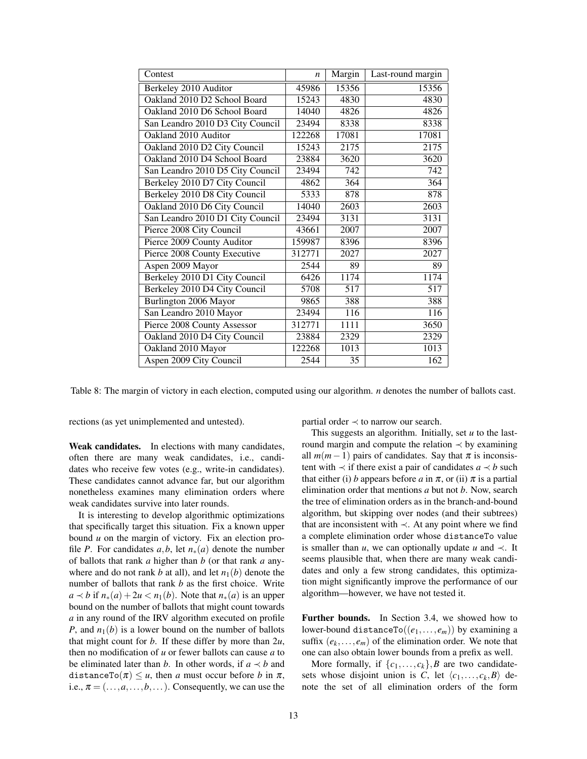| Contest                          | $\boldsymbol{n}$ | Margin | Last-round margin |
|----------------------------------|------------------|--------|-------------------|
| Berkeley 2010 Auditor            | 45986            | 15356  | 15356             |
| Oakland 2010 D2 School Board     | 15243            | 4830   | 4830              |
| Oakland 2010 D6 School Board     | 14040            | 4826   | 4826              |
| San Leandro 2010 D3 City Council | 23494            | 8338   | 8338              |
| Oakland 2010 Auditor             | 122268           | 17081  | 17081             |
| Oakland 2010 D2 City Council     | 15243            | 2175   | 2175              |
| Oakland 2010 D4 School Board     | 23884            | 3620   | 3620              |
| San Leandro 2010 D5 City Council | 23494            | 742    | 742               |
| Berkeley 2010 D7 City Council    | 4862             | 364    | 364               |
| Berkeley 2010 D8 City Council    | 5333             | 878    | 878               |
| Oakland 2010 D6 City Council     | 14040            | 2603   | 2603              |
| San Leandro 2010 D1 City Council | 23494            | 3131   | 3131              |
| Pierce 2008 City Council         | 43661            | 2007   | 2007              |
| Pierce 2009 County Auditor       | 159987           | 8396   | 8396              |
| Pierce 2008 County Executive     | 312771           | 2027   | 2027              |
| Aspen 2009 Mayor                 | 2544             | 89     | 89                |
| Berkeley 2010 D1 City Council    | 6426             | 1174   | 1174              |
| Berkeley 2010 D4 City Council    | 5708             | 517    | 517               |
| Burlington 2006 Mayor            | 9865             | 388    | 388               |
| San Leandro 2010 Mayor           | 23494            | 116    | 116               |
| Pierce 2008 County Assessor      | 312771           | 1111   | 3650              |
| Oakland 2010 D4 City Council     | 23884            | 2329   | 2329              |
| Oakland 2010 Mayor               | 122268           | 1013   | 1013              |
| Aspen 2009 City Council          | 2544             | 35     | 162               |

Table 8: The margin of victory in each election, computed using our algorithm. *n* denotes the number of ballots cast.

rections (as yet unimplemented and untested).

Weak candidates. In elections with many candidates, often there are many weak candidates, i.e., candidates who receive few votes (e.g., write-in candidates). These candidates cannot advance far, but our algorithm nonetheless examines many elimination orders where weak candidates survive into later rounds.

It is interesting to develop algorithmic optimizations that specifically target this situation. Fix a known upper bound *u* on the margin of victory. Fix an election profile *P*. For candidates *a*,*b*, let  $n_*(a)$  denote the number of ballots that rank *a* higher than *b* (or that rank *a* anywhere and do not rank *b* at all), and let  $n_1(b)$  denote the number of ballots that rank *b* as the first choice. Write *a* ≺ *b* if  $n_*(a) + 2u < n_1(b)$ . Note that  $n_*(a)$  is an upper bound on the number of ballots that might count towards *a* in any round of the IRV algorithm executed on profile *P*, and  $n_1(b)$  is a lower bound on the number of ballots that might count for *b*. If these differ by more than 2*u*, then no modification of *u* or fewer ballots can cause *a* to be eliminated later than *b*. In other words, if  $a \prec b$  and distanceTo( $\pi$ )  $\leq u$ , then *a* must occur before *b* in  $\pi$ , i.e.,  $\pi = (\ldots, a, \ldots, b, \ldots)$ . Consequently, we can use the partial order  $\prec$  to narrow our search.

This suggests an algorithm. Initially, set *u* to the lastround margin and compute the relation  $\prec$  by examining all  $m(m-1)$  pairs of candidates. Say that  $\pi$  is inconsistent with  $\prec$  if there exist a pair of candidates  $a \prec b$  such that either (i) *b* appears before *a* in  $\pi$ , or (ii)  $\pi$  is a partial elimination order that mentions *a* but not *b*. Now, search the tree of elimination orders as in the branch-and-bound algorithm, but skipping over nodes (and their subtrees) that are inconsistent with  $\prec$ . At any point where we find a complete elimination order whose distanceTo value is smaller than *u*, we can optionally update *u* and  $\prec$ . It seems plausible that, when there are many weak candidates and only a few strong candidates, this optimization might significantly improve the performance of our algorithm—however, we have not tested it.

Further bounds. In Section 3.4, we showed how to lower-bound distanceTo $((e_1, \ldots, e_m))$  by examining a suffix  $(e_k, \ldots, e_m)$  of the elimination order. We note that one can also obtain lower bounds from a prefix as well.

More formally, if  $\{c_1, \ldots, c_k\}$ , *B* are two candidatesets whose disjoint union is *C*, let  $\langle c_1, \ldots, c_k, B \rangle$  denote the set of all elimination orders of the form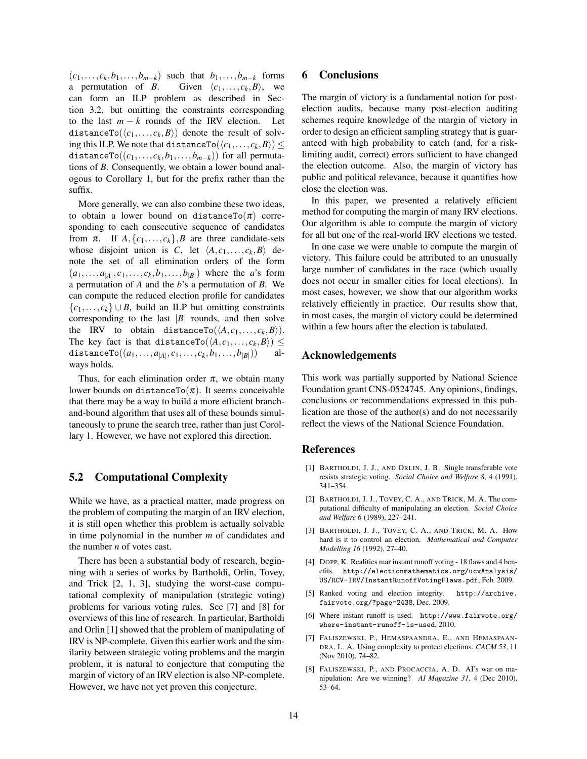$(c_1, \ldots, c_k, b_1, \ldots, b_{m-k})$  such that  $b_1, \ldots, b_{m-k}$  forms a permutation of *B*. Given  $\langle c_1, \ldots, c_k, B \rangle$ , we can form an ILP problem as described in Section 3.2, but omitting the constraints corresponding to the last  $m - k$  rounds of the IRV election. Let  $\texttt{distanceTo}(\langle c_1,\ldots,c_k,B\rangle)$  denote the result of solv- $\mathop{\mathrm{diag}}$  this ILP. We note that distanceTo $(\langle c_1,\ldots, c_k, B\rangle)\leq 1$ distanceTo $((c_1, \ldots, c_k, b_1, \ldots, b_{m-k}))$  for all permutations of *B*. Consequently, we obtain a lower bound analogous to Corollary 1, but for the prefix rather than the suffix.

More generally, we can also combine these two ideas, to obtain a lower bound on distanceTo $(\pi)$  corresponding to each consecutive sequence of candidates from  $\pi$ . If  $A, \{c_1, \ldots, c_k\}$ , *B* are three candidate-sets whose disjoint union is *C*, let  $\langle A, c_1,..., c_k, B \rangle$  denote the set of all elimination orders of the form  $(a_1, ..., a_{|A|}, c_1, ..., c_k, b_1, ..., b_{|B|})$  where the *a*'s form a permutation of *A* and the *b*'s a permutation of *B*. We can compute the reduced election profile for candidates  $\{c_1, \ldots, c_k\} \cup B$ , build an ILP but omitting constraints corresponding to the last  $|B|$  rounds, and then solve the IRV to obtain distanceTo $(\langle A, c_1, \ldots, c_k, B \rangle).$ The key fact is that distanceTo $(\langle A, c_1, \ldots, c_k, B \rangle) \leq$  $\texttt{distanceTo}((a_1,\ldots,a_{|\mathcal{A}|},c_1,\ldots,c_k,b_1,\ldots,b_{|\mathcal{B}|})$ )) always holds.

Thus, for each elimination order  $\pi$ , we obtain many lower bounds on distanceTo( $\pi$ ). It seems conceivable that there may be a way to build a more efficient branchand-bound algorithm that uses all of these bounds simultaneously to prune the search tree, rather than just Corollary 1. However, we have not explored this direction.

### 5.2 Computational Complexity

While we have, as a practical matter, made progress on the problem of computing the margin of an IRV election, it is still open whether this problem is actually solvable in time polynomial in the number *m* of candidates and the number *n* of votes cast.

There has been a substantial body of research, beginning with a series of works by Bartholdi, Orlin, Tovey, and Trick [2, 1, 3], studying the worst-case computational complexity of manipulation (strategic voting) problems for various voting rules. See [7] and [8] for overviews of this line of research. In particular, Bartholdi and Orlin [1] showed that the problem of manipulating of IRV is NP-complete. Given this earlier work and the similarity between strategic voting problems and the margin problem, it is natural to conjecture that computing the margin of victory of an IRV election is also NP-complete. However, we have not yet proven this conjecture.

### 6 Conclusions

The margin of victory is a fundamental notion for postelection audits, because many post-election auditing schemes require knowledge of the margin of victory in order to design an efficient sampling strategy that is guaranteed with high probability to catch (and, for a risklimiting audit, correct) errors sufficient to have changed the election outcome. Also, the margin of victory has public and political relevance, because it quantifies how close the election was.

In this paper, we presented a relatively efficient method for computing the margin of many IRV elections. Our algorithm is able to compute the margin of victory for all but one of the real-world IRV elections we tested.

In one case we were unable to compute the margin of victory. This failure could be attributed to an unusually large number of candidates in the race (which usually does not occur in smaller cities for local elections). In most cases, however, we show that our algorithm works relatively efficiently in practice. Our results show that, in most cases, the margin of victory could be determined within a few hours after the election is tabulated.

#### Acknowledgements

This work was partially supported by National Science Foundation grant CNS-0524745. Any opinions, findings, conclusions or recommendations expressed in this publication are those of the author(s) and do not necessarily reflect the views of the National Science Foundation.

#### References

- [1] BARTHOLDI, J. J., AND ORLIN, J. B. Single transferable vote resists strategic voting. *Social Choice and Welfare 8*, 4 (1991), 341–354.
- [2] BARTHOLDI, J. J., TOVEY, C. A., AND TRICK, M. A. The computational difficulty of manipulating an election. *Social Choice and Welfare 6* (1989), 227–241.
- [3] BARTHOLDI, J. J., TOVEY, C. A., AND TRICK, M. A. How hard is it to control an election. *Mathematical and Computer Modelling 16* (1992), 27–40.
- [4] DOPP, K. Realities mar instant runoff voting 18 flaws and 4 benefits. http://electionmathematics.org/ucvAnalysis/ US/RCV-IRV/InstantRunoffVotingFlaws.pdf, Feb. 2009.
- [5] Ranked voting and election integrity. http://archive. fairvote.org/?page=2438, Dec. 2009.
- [6] Where instant runoff is used. http://www.fairvote.org/ where-instant-runoff-is-used, 2010.
- [7] FALISZEWSKI, P., HEMASPAANDRA, E., AND HEMASPAAN-DRA, L. A. Using complexity to protect elections. *CACM 53*, 11 (Nov 2010), 74–82.
- [8] FALISZEWSKI, P., AND PROCACCIA, A. D. AI's war on manipulation: Are we winning? *AI Magazine 31*, 4 (Dec 2010), 53–64.